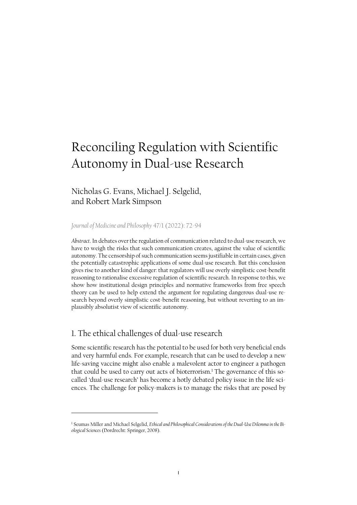# Reconciling Regulation with Scientific Autonomy in Dual-use Research

## Nicholas G. Evans, Michael J. Selgelid, and Robert Mark Simpson

*[Journal of Medicine and Philosophy](https://academic.oup.com/jmp/article-abstract/47/1/72/6524313)* 47/1 (2022): 72[-94](https://academic.oup.com/jmp/article-abstract/47/1/72/6524313)

*Abstract*. In debates over the regulation of communication related to dual-use research, we have to weigh the risks that such communication creates, against the value of scientific autonomy. The censorship of such communication seems justifiable in certain cases, given the potentially catastrophic applications of some dual-use research. But this conclusion gives rise to another kind of danger: that regulators will use overly simplistic cost-benefit reasoning to rationalise excessive regulation of scientific research. In response to this, we show how institutional design principles and normative frameworks from free speech theory can be used to help extend the argument for regulating dangerous dual-use research beyond overly simplistic cost-benefit reasoning, but without reverting to an implausibly absolutist view of scientific autonomy.

#### 1. The ethical challenges of dual-use research

Some scientific research has the potential to be used for both very beneficial ends and very harmful ends. For example, research that can be used to develop a new life-saving vaccine might also enable a malevolent actor to engineer a pathogen that could be used to carry out acts of bioterrorism.<sup>1</sup> The governance of this socalled 'dual-use research' has become a hotly debated policy issue in the life sciences. The challenge for policy-makers is to manage the risks that are posed by

<sup>1</sup> Seumas Miller and Michael Selgelid, *Ethical and Philosophical Considerations of the Dual-Use Dilemma in the Biological Sciences* (Dordrecht: Springer, 2008).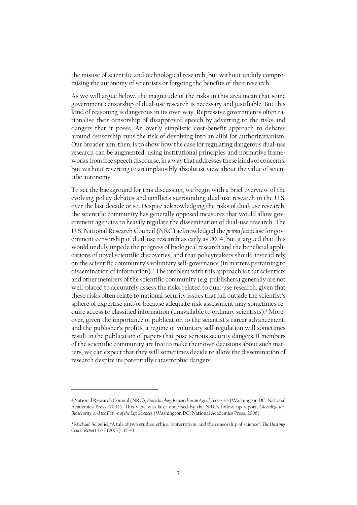the misuse of scientific and technological research, but without unduly compromising the autonomy of scientists or forgoing the benefits of their research.

As we will argue below, the magnitude of the risks in this area mean that some government censorship of dual-use research is necessary and justifiable. But this kind of reasoning is dangerous in its own way. Repressive governments often rationalise their censorship of disapproved speech by adverting to the risks and dangers that it poses. An overly simplistic cost-benefit approach to debates around censorship runs the risk of devolving into an alibi for authoritarianism. Our broader aim, then, is to show how the case for regulating dangerous dual-use research can be augmented, using institutional principles and normative frameworks from free speech discourse, in a way that addresses these kinds of concerns, but without reverting to an implausibly absolutist view about the value of scientific autonomy.

To set the background for this discussion, we begin with a brief overview of the evolving policy debates and conflicts surrounding dual-use research in the U.S. over the last decade or so. Despite acknowledging the risks of dual-use research, the scientific community has generally opposed measures that would allow government agencies to heavily regulate the dissemination of dual-use research. The U.S. National Research Council (NRC) acknowledged the *prima facie* case for government censorship of dual-use research as early as 2004, but it argued that this would unduly impede the progress of biological research and the beneficial applications of novel scientific discoveries, and that policymakers should instead rely on the scientific community's voluntary self-governance (in matters pertaining to dissemination of information). $^2$  The problem with this approach is that scientists and other members of the scientific community (e.g. publishers) generally are not well-placed to accurately assess the risks related to dual-use research, given that these risks often relate to national security issues that fall outside the scientist's sphere of expertise and/or because adequate risk assessment may sometimes require access to classified information (unavailable to ordinary scientists). <sup>3</sup> Moreover, given the importance of publication to the scientist's career advancement, and the publisher's profits, a regime of voluntary self-regulation will sometimes result in the publication of papers that pose serious security dangers. If members of the scientific community are free to make their own decisions about such matters, we can expect that they will sometimes decide to allow the dissemination of research despite its potentially catastrophic dangers.

<sup>2</sup> National Research Council (NRC), *Biotechnology Research in an Age of Terrorism* (Washington DC: National Academies Press, 2004). This view was later endorsed by the NRC's follow up report, *Globalization, Biosecurity, and the Future of the Life Sciences* (Washington DC: National Academies Press, 2006).

<sup>3</sup> Michael Selgelid, "A tale of two studies: ethics, bioterrorism, and the censorship of science", *The Hastings Center Report* 37/3 (2007): 35-43.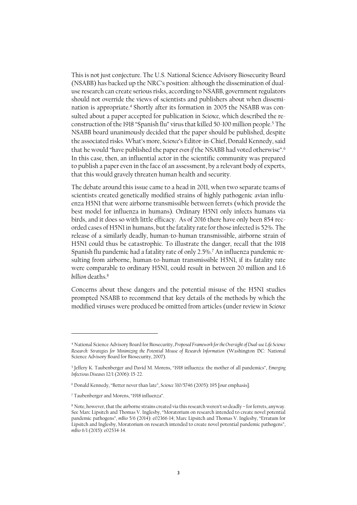This is not just conjecture. The U.S. National Science Advisory Biosecurity Board (NSABB) has backed up the NRC's position: although the dissemination of dualuse research can create serious risks, according to NSABB, government regulators should not override the views of scientists and publishers about when dissemination is appropriate. <sup>4</sup> Shortly after its formation in 2005 the NSABB was consulted about a paper accepted for publication in *Science*, which described the reconstruction of the 1918 "Spanish flu" virus that killed 50-100 million people.<sup>5</sup> The NSABB board unanimously decided that the paper should be published, despite the associated risks. What's more, *Science*'s Editor-in-Chief, Donald Kennedy, said that he would "have published the paper *even if* the NSABB had voted otherwise".<sup>6</sup> In this case, then, an influential actor in the scientific community was prepared to publish a paper even in the face of an assessment, by a relevant body of experts, that this would gravely threaten human health and security.

The debate around this issue came to a head in 2011, when two separate teams of scientists created genetically modified strains of highly pathogenic avian influenza H5N1 that were airborne transmissible between ferrets (which provide the best model for influenza in humans). Ordinary H5N1 only infects humans via birds, and it does so with little efficacy. As of 2016 there have only been 854 recorded cases of H5N1 in humans, but the fatality rate for those infected is 52%. The release of a similarly deadly, human-to-human transmissible, airborne strain of H5N1 could thus be catastrophic. To illustrate the danger, recall that the 1918 Spanish flu pandemic had a fatality rate of only 2.5%.<sup>7</sup> An influenza pandemic resulting from airborne, human-to-human transmissible H5N1, if its fatality rate were comparable to ordinary H5N1, could result in between 20 million and 1.6 *billion* deaths.<sup>8</sup>

Concerns about these dangers and the potential misuse of the H5N1 studies prompted NSABB to recommend that key details of the methods by which the modified viruses were produced be omitted from articles (under review in *Science* 

<sup>4</sup> National Science Advisory Board for Biosecurity, *Proposed Framework for the Oversight of Dual-use Life Science Research: Strategies for Minimizing the Potential Misuse of Research Information* (Washington DC: National Science Advisory Board for Biosecurity, 2007).

<sup>5</sup> Jeffery K. Taubenberger and David M. Morens, "1918 influenza: the mother of all pandemics", *Emerging Infectious Diseases* 12/1 (2006): 15-22.

<sup>6</sup> Donald Kennedy, "Better never than late", *Science* 310/5746 (2005): 195 [our emphasis].

<sup>7</sup> Taubenberger and Morens, "1918 influenza".

<sup>8</sup> Note, however, that the airborne strains created via this research weren't so deadly – for ferrets, anyway. See Marc Lipsitch and Thomas V. Inglesby, "Moratorium on research intended to create novel potential pandemic pathogens", *mBio* 5/6 (2014): e02366-14; Marc Lipsitch and Thomas V. Inglesby, "Erratum for Lipsitch and Inglesby, Moratorium on research intended to create novel potential pandemic pathogens", *mBio* 6/1 (2015): e02534-14.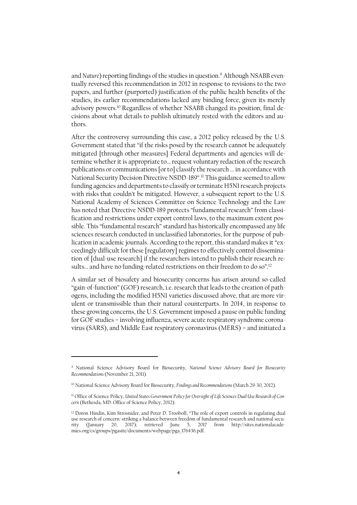and *Nature*) reporting findings of the studies in question.<sup>9</sup> Although NSABB eventually reversed this recommendation in 2012 in response to revisions to the two papers, and further (purported) justification of the public health benefits of the studies, its earlier recommendations lacked any binding force, given its merely advisory powers. <sup>10</sup> Regardless of whether NSABB changed its position, final decisions about what details to publish ultimately rested with the editors and authors.

After the controversy surrounding this case, a 2012 policy released by the U.S. Government stated that "if the risks posed by the research cannot be adequately mitigated [through other measures] Federal departments and agencies will determine whether it is appropriate to… request voluntary redaction of the research publications or communications [or to] classify the research ... in accordance with National Security Decision Directive NSDD-189". <sup>11</sup> This guidance seemed to allow funding agencies and departments to classify or terminate H5N1 research projects with risks that couldn't be mitigated. However, a subsequent report to the U.S. National Academy of Sciences Committee on Science Technology and the Law has noted that Directive NSDD-189 protects "fundamental research" from classification and restrictions under export control laws, to the maximum extent possible. This "fundamental research" standard has historically encompassed any life sciences research conducted in unclassified laboratories, for the purpose of publication in academic journals. According to the report, this standard makes it "exceedingly difficult for these [regulatory] regimes to effectively control dissemination of [dual-use research] if the researchers intend to publish their research results... and have no funding-related restrictions on their freedom to do so".<sup>12</sup>

A similar set of biosafety and biosecurity concerns has arisen around so-called "gain-of-function" (GOF) research, i.e. research that leads to the creation of pathogens, including the modified H5N1 varieties discussed above, that are more virulent or transmissible than their natural counterparts. In 2014, in response to these growing concerns, the U.S. Government imposed a pause on public funding for GOF studies – involving influenza, severe acute respiratory syndrome coronavirus (SARS), and Middle East respiratory coronavirus (MERS) – and initiated a

<sup>9</sup> National Science Advisory Board for Biosecurity, *National Science Advisory Board for Biosecurity Recommendations* (November 21, 2011)*.*

<sup>10</sup> National Science Advisory Board for Biosecurity, *Findings and Recommendations* (March 29-30, 2012).

<sup>11</sup> Office of Science Policy, *United States Government Policy for Oversight of Life Sciences Dual Use Research of Concern* (Bethesda, MD: Office of Science Policy, 2012).

<sup>12</sup> Doron Hindin, Kim Strosnider, and Peter D. Trooboff, "The role of export controls in regulating dual use research of concern: striking a balance between freedom of fundamental research and national security (January 20, 2017); retrieved June 5, 2017 from http://sites.nationalacademies.org/cs/groups/pgasite/documents/webpage/pga\_176436.pdf.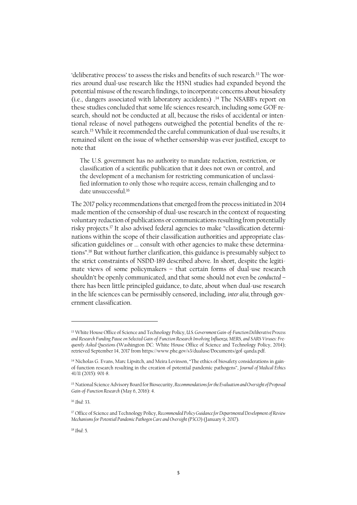'deliberative process' to assess the risks and benefits of such research.<sup>13</sup> The worries around dual-use research like the H5N1 studies had expanded beyond the potential misuse of the research findings, to incorporate concerns about biosafety (i.e., dangers associated with laboratory accidents) . <sup>14</sup> The NSABB's report on these studies concluded that some life sciences research, including some GOF research, should not be conducted at all, because the risks of accidental or intentional release of novel pathogens outweighed the potential benefits of the research.<sup>15</sup> While it recommended the careful communication of dual-use results, it remained silent on the issue of whether censorship was ever justified, except to note that

The U.S. government has no authority to mandate redaction, restriction, or classification of a scientific publication that it does not own or control, and the development of a mechanism for restricting communication of unclassified information to only those who require access, remain challenging and to date unsuccessful. 16

The 2017 policy recommendations that emerged from the process initiated in 2014 made mention of the censorship of dual-use research in the context of requesting voluntary redaction of publications or communications resulting from potentially risky projects. <sup>17</sup> It also advised federal agencies to make "classification determinations within the scope of their classification authorities and appropriate classification guidelines or ... consult with other agencies to make these determinations". <sup>18</sup> But without further clarification, this guidance is presumably subject to the strict constraints of NSDD-189 described above. In short, despite the legitimate views of some policymakers – that certain forms of dual-use research shouldn't be openly communicated, and that some should not even be *conducted* – there has been little principled guidance, to date, about when dual-use research in the life sciences can be permissibly censored, including, *inter alia,* through government classification.

<sup>13</sup> White House Office of Science and Technology Policy, *U.S. Government Gain-of-Function Deliberative Process and Research Funding Pause on Selected Gain-of-Function Research Involving Influenza, MERS, and SARS Viruses: Frequently Asked Questions* (Washington DC: White House Office of Science and Technology Policy, 2014); retrieved September 14, 2017 fro[m https://www.phe.gov/s3/dualuse/Documents/gof-qanda.pdf.](https://www.phe.gov/s3/dualuse/Documents/gof-qanda.pdf) 

<sup>14</sup> Nicholas G. Evans, Marc Lipsitch, and Meira Levinson, "The ethics of biosafety considerations in gainof-function research resulting in the creation of potential pandemic pathogens", *Journal of Medical Ethics* 41/11 (2015): 901-8.

<sup>15</sup> National Science Advisory Board for Biosecurity, *Recommendations for the Evaluation and Oversight of Proposed Gain-of-Function Research* (May 6, 2016): 4.

<sup>16</sup> *Ibid*: 33.

<sup>17</sup> Office of Science and Technology Policy, *Recommended Policy Guidance for Departmental Development of Review Mechanisms for Potential Pandemic Pathogen Care and Oversight (P3CO*) (January 9, 2017).

<sup>18</sup> *Ibid*: 5.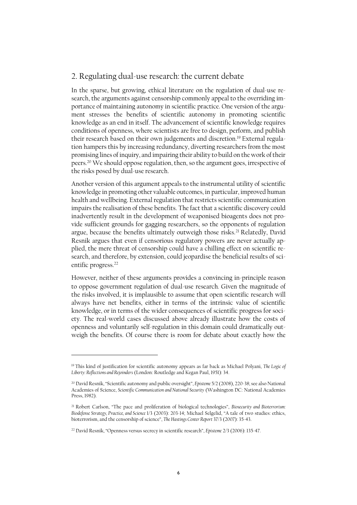### 2. Regulating dual-use research: the current debate

In the sparse, but growing, ethical literature on the regulation of dual-use research, the arguments against censorship commonly appeal to the overriding importance of maintaining autonomy in scientific practice. One version of the argument stresses the benefits of scientific autonomy in promoting scientific knowledge as an end in itself. The advancement of scientific knowledge requires conditions of openness, where scientists are free to design, perform, and publish their research based on their own judgements and discretion.<sup>19</sup> External regulation hampers this by increasing redundancy, diverting researchers from the most promising lines of inquiry, and impairing their ability to build on the work of their peers.<sup>20</sup> We should oppose regulation, then, so the argument goes, irrespective of the risks posed by dual-use research.

Another version of this argument appeals to the instrumental utility of scientific knowledge in promoting other valuable outcomes, in particular, improved human health and wellbeing. External regulation that restricts scientific communication impairs the realisation of these benefits. The fact that a scientific discovery could inadvertently result in the development of weaponised bioagents does not provide sufficient grounds for gagging researchers, so the opponents of regulation argue, because the benefits ultimately outweigh those risks.<sup>21</sup> Relatedly, David Resnik argues that even if censorious regulatory powers are never actually applied, the mere threat of censorship could have a chilling effect on scientific research, and therefore, by extension, could jeopardise the beneficial results of scientific progress.<sup>22</sup>

However, neither of these arguments provides a convincing in-principle reason to oppose government regulation of dual-use research*.* Given the magnitude of the risks involved, it is implausible to assume that open scientific research will always have net benefits, either in terms of the intrinsic value of scientific knowledge, or in terms of the wider consequences of scientific progress for society. The real-world cases discussed above already illustrate how the costs of openness and voluntarily self-regulation in this domain could dramatically outweigh the benefits. Of course there is room for debate about exactly how the

<sup>19</sup> This kind of justification for scientific autonomy appears as far back as Michael Polyani, *The Logic of Liberty: Reflections and Rejoinders* (London: Routledge and Kegan Paul, 1951): 34.

<sup>20</sup> David Resnik, "Scientific autonomy and public oversight", *Episteme* 5/2 (2008), 220-38; see also National Academies of Science, *Scientific Communication and National Security* (Washington DC: National Academies Press, 1982).

<sup>21</sup> Robert Carlson, "The pace and proliferation of biological technologies", *Biosecurity and Bioterrorism: Biodefense Strategy, Practice, and Science* 1/3 (2003): 203-14; Michael Selgelid, "A tale of two studies: ethics, bioterrorism, and the censorship of science", *The Hastings Center Report* 37/3 (2007): 35-43.

<sup>22</sup> David Resnik, "Openness versus secrecy in scientific research", *Episteme* 2/3 (2006): 135-47.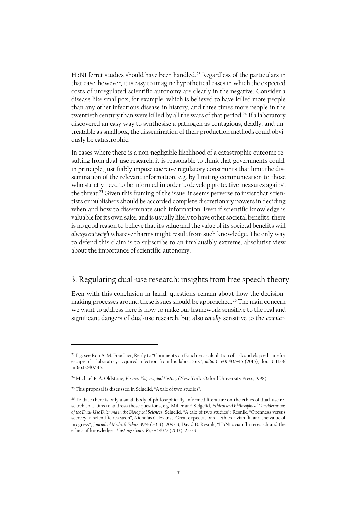H5N1 ferret studies should have been handled.<sup>23</sup> Regardless of the particulars in that case, however, it is easy to imagine hypothetical cases in which the expected costs of unregulated scientific autonomy are clearly in the negative. Consider a disease like smallpox, for example, which is believed to have killed more people than any other infectious disease in history, and three times more people in the twentieth century than were killed by all the wars of that period.<sup>24</sup> If a laboratory discovered an easy way to synthesise a pathogen as contagious, deadly, and untreatable as smallpox, the dissemination of their production methods could obviously be catastrophic.

In cases where there is a non-negligible likelihood of a catastrophic outcome resulting from dual-use research, it is reasonable to think that governments could, in principle, justifiably impose coercive regulatory constraints that limit the dissemination of the relevant information, e.g. by limiting communication to those who strictly need to be informed in order to develop protective measures against the threat.<sup>25</sup> Given this framing of the issue, it seems perverse to insist that scientists or publishers should be accorded complete discretionary powers in deciding when and how to disseminate such information. Even if scientific knowledge is valuable for its own sake, and is usually likely to have other societal benefits, there is no good reason to believe that its value and the value of its societal benefits will *always outweigh* whatever harms might result from such knowledge. The only way to defend this claim is to subscribe to an implausibly extreme, absolutist view about the importance of scientific autonomy.

## 3. Regulating dual-use research: insights from free speech theory

Even with this conclusion in hand, questions remain about how the decisionmaking processes around these issues should be approached. <sup>26</sup> The main concern we want to address here is how to make our framework sensitive to the real and significant dangers of dual-use research, but also *equally* sensitive to the *counter-*

<sup>&</sup>lt;sup>23</sup> E.g. see Ron A. M. Fouchier, Reply to "Comments on Fouchier's calculation of risk and elapsed time for escape of a laboratory-acquired infection from his laboratory", *mBio* 6, e00407–15 (2015), doi: 10.1128/ mBio.00407-15.

<sup>24</sup> Michael B. A. Oldstone, *Viruses, Plagues, and History* (New York: Oxford University Press, 1998).

<sup>25</sup> This proposal is discussed in Selgelid, "A tale of two studies".

<sup>&</sup>lt;sup>26</sup> To date there is only a small body of philosophically-informed literature on the ethics of dual-use research that aims to address these questions, e.g. Miller and Selgelid, *Ethical and Philosophical Considerations of the Dual-Use Dilemma in the Biological Sciences*; Selgelid, "A tale of two studies"; Resnik, "Openness versus secrecy in scientific research", Nicholas G. Evans, "Great expectations – ethics, avian flu and the value of progress", *Journal of Medical Ethics* 39/4 (2013): 209-13; David B. Resnik, "H5N1 avian flu research and the ethics of knowledge", *Hastings Center Report* 43/2 (2013): 22-33.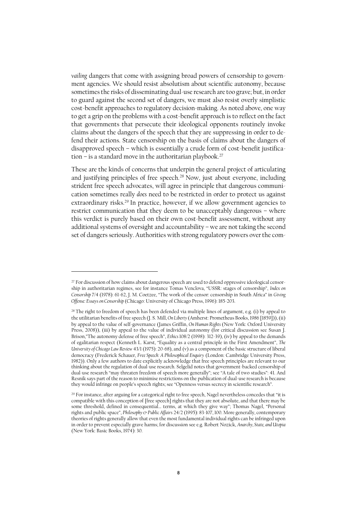*vailing* dangers that come with assigning broad powers of censorship to government agencies. We should resist absolutism about scientific autonomy, because sometimes the risks of disseminating dual-use research are too grave; but, in order to guard against the second set of dangers, we must also resist overly simplistic cost-benefit approaches to regulatory decision-making. As noted above, one way to get a grip on the problems with a cost-benefit approach is to reflect on the fact that governments that persecute their ideological opponents routinely invoke claims about the dangers of the speech that they are suppressing in order to defend their actions. State censorship on the basis of claims about the dangers of disapproved speech – which is essentially a crude form of cost-benefit justification – is a standard move in the authoritarian playbook.<sup>27</sup>

These are the kinds of concerns that underpin the general project of articulating and justifying principles of free speech.<sup>28</sup> Now, just about everyone, including strident free speech advocates, will agree in principle that dangerous communication sometimes really *does* need to be restricted in order to protect us against extraordinary risks.<sup>29</sup> In practice, however, if we allow government agencies to restrict communication that they deem to be unacceptably dangerous – where this verdict is purely based on their own cost-benefit assessment, without any additional systems of oversight and accountability – we are not taking the second set of dangers seriously. Authorities with strong regulatory powers over the com-

<sup>&</sup>lt;sup>27</sup> For discussion of how claims about dangerous speech are used to defend oppressive ideological censorship in authoritarian regimes, see for instance Tomas Venclova, "USSR: stages of censorship", *Index on Censorship* 7/4 (1978): 61-62, J. M. Coetzee, "The work of the censor: censorship in South Africa" in *Giving Offense: Essays on Censorship* (Chicago: University of Chicago Press, 1996): 185-203.

 $28$  The right to freedom of speech has been defended via multiple lines of argument, e.g. (i) by appeal to the utilitarian benefits of free speech (J. S. Mill, *On Liberty* (Amherst: Prometheus Books, 1986 [1859])), (ii) by appeal to the value of self-governance (James Griffin, *On Human Rights* (New York: Oxford University Press, 2008)), (iii) by appeal to the value of individual autonomy (for critical discussion see Susan J. Brison,"The autonomy defense of free speech", *Ethics* 108/2 (1998): 312-39), (iv) by appeal to the demands of egalitarian respect (Kenneth L. Karst, "Equality as a central principle in the First Amendment", *The University of Chicago Law Review* 43/1 (1975): 20-68), and (v) as a component of the basic structure of liberal democracy (Frederick Schauer, *Free Speech: A Philosophical Enquiry* (London: Cambridge University Press, 1982)). Only a few authors to date explicitly acknowledge that free speech principles are relevant to our thinking about the regulation of dual-use research. Selgelid notes that government-backed censorship of dual-use research "may threaten freedom of speech more generally"; see "A tale of two studies": 41. And Resnik says part of the reason to minimise restrictions on the publication of dual-use research is because they would infringe on people's speech rights; see "Openness versus secrecy in scientific research".

<sup>&</sup>lt;sup>29</sup> For instance, after arguing for a categorical right to free speech, Nagel nevertheless concedes that "it is compatible with this conception of [free speech] rights that they are not absolute, and that there may be some threshold, defined in consequential… terms, at which they give way"; Thomas Nagel, "Personal rights and public space", *Philosophy & Public Affairs* 24/2 (1995): 83-107, 100. More generally, contemporary theories of rights generally allow that even the most fundamental individual rights can be infringed upon in order to prevent especially grave harms; for discussion see e.g. Robert Nozick, *Anarchy, State, and Utopia* (New York: Basic Books, 1974): 30.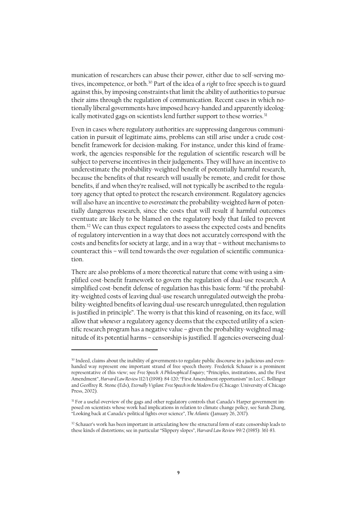munication of researchers can abuse their power, either due to self-serving motives, incompetence, or both.<sup>30</sup> Part of the idea of a *right* to free speech is to guard against this, by imposing constraints that limit the ability of authorities to pursue their aims through the regulation of communication. Recent cases in which notionally liberal governments have imposed heavy-handed and apparently ideologically motivated gags on scientists lend further support to these worries.<sup>31</sup>

Even in cases where regulatory authorities are suppressing dangerous communication in pursuit of legitimate aims, problems can still arise under a crude costbenefit framework for decision-making. For instance, under this kind of framework, the agencies responsible for the regulation of scientific research will be subject to perverse incentives in their judgements. They will have an incentive to underestimate the probability-weighted benefit of potentially harmful research, because the benefits of that research will usually be remote, and credit for those benefits, if and when they're realised, will not typically be ascribed to the regulatory agency that opted to protect the research environment. Regulatory agencies will also have an incentive to *overestimate* the probability-weighted *harm* of potentially dangerous research, since the costs that will result if harmful outcomes eventuate are likely to be blamed on the regulatory body that failed to prevent them. <sup>32</sup> We can thus expect regulators to assess the expected costs and benefits of regulatory intervention in a way that does not accurately correspond with the costs and benefits for society at large, and in a way that – without mechanisms to counteract this – will tend towards the over-regulation of scientific communication.

There are also problems of a more theoretical nature that come with using a simplified cost-benefit framework to govern the regulation of dual-use research. A simplified cost-benefit defense of regulation has this basic form: "if the probability-weighted costs of leaving dual-use research unregulated outweigh the probability-weighted benefits of leaving dual-use research unregulated, then regulation is justified in principle". The worry is that this kind of reasoning, on its face, will allow that *whenever* a regulatory agency deemsthat the expected utility of a scientific research program has a negative value – given the probability-weighted magnitude of its potential harms – censorship is justified. If agencies overseeing dual-

<sup>30</sup> Indeed, claims about the inability of governments to regulate public discourse in a judicious and evenhanded way represent one important strand of free speech theory. Frederick Schauer is a prominent representative of this view; see *Free Speech: A Philosophical Enquiry*; "Principles, institutions, and the First Amendment", *Harvard Law Review* 112/1 (1998): 84-120; "First Amendment opportunism" in Lee C. Bollinger and Geoffrey R. Stone (Eds), *Eternally Vigilant: Free Speech in the Modern Era* (Chicago: University of Chicago Press, 2002).

<sup>&</sup>lt;sup>31</sup> For a useful overview of the gags and other regulatory controls that Canada's Harper government imposed on scientists whose work had implications in relation to climate change policy, see Sarah Zhang, "Looking back at Canada's political fights over science", *The Atlantic* (January 26, 2017).

<sup>&</sup>lt;sup>32</sup> Schauer's work has been important in articulating how the structural form of state censorship leads to these kinds of distortions; see in particular "Slippery slopes", *Harvard Law Review* 99/2 (1985): 361-83.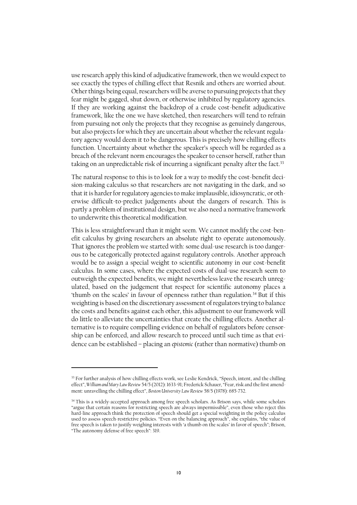use research apply this kind of adjudicative framework, then we would expect to see exactly the types of chilling effect that Resnik and others are worried about. Other things being equal, researchers will be averse to pursuing projects that they fear might be gagged, shut down, or otherwise inhibited by regulatory agencies. If they are working against the backdrop of a crude cost-benefit adjudicative framework, like the one we have sketched, then researchers will tend to refrain from pursuing not only the projects that they recognise as genuinely dangerous, but also projects for which they are uncertain about whether the relevant regulatory agency would deem it to be dangerous. This is precisely how chilling effects function. Uncertainty about whether the speaker's speech will be regarded as a breach of the relevant norm encourages the speaker to censor herself, rather than taking on an unpredictable risk of incurring a significant penalty after the fact.<sup>33</sup>

The natural response to this is to look for a way to modify the cost-benefit decision-making calculus so that researchers are not navigating in the dark, and so that it is harder for regulatory agencies to make implausible, idiosyncratic, or otherwise difficult-to-predict judgements about the dangers of research. This is partly a problem of institutional design, but we also need a normative framework to underwrite this theoretical modification.

This is less straightforward than it might seem. We cannot modify the cost-benefit calculus by giving researchers an absolute right to operate autonomously. That ignores the problem we started with: some dual-use research is too dangerous to be categorically protected against regulatory controls. Another approach would be to assign a special weight to scientific autonomy in our cost-benefit calculus. In some cases, where the expected costs of dual-use research seem to outweigh the expected benefits, we might nevertheless leave the research unregulated, based on the judgement that respect for scientific autonomy places a 'thumb on the scales' in favour of openness rather than regulation.<sup>34</sup> But if this weighting is based on the discretionary assessment of regulators trying to balance the costs and benefits against each other, this adjustment to our framework will do little to alleviate the uncertainties that create the chilling effects. Another alternative is to require compelling evidence on behalf of regulators before censorship can be enforced, and allow research to proceed until such time as that evidence can be established – placing an *epistemic* (rather than normative) thumb on

<sup>33</sup> For further analysis of how chilling effects work, see Leslie Kendrick, "Speech, intent, and the chilling effect", *William and Mary Law Review* 54/5 (2012): 1633-91; Frederick Schauer, "Fear, risk and the first amendment: unravelling the chilling effect", *Boston University Law Review* 58/5 (1978): 685-732.

<sup>&</sup>lt;sup>34</sup> This is a widely-accepted approach among free speech scholars. As Brison says, while some scholars "argue that certain reasons for restricting speech are always impermissible", even those who reject this hard-line approach think the protection of speech should get a special weighting in the policy calculus used to assess speech-restrictive policies. "Even on the balancing approach", she explains, "the value of free speech is taken to justify weighing interests with 'a thumb on the scales' in favor of speech"; Brison, "The autonomy defense of free speech": 319.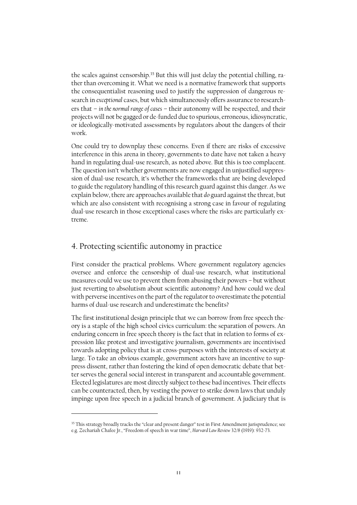the scales against censorship.<sup>35</sup> But this will just delay the potential chilling, rather than overcoming it. What we need is a normative framework that supports the consequentialist reasoning used to justify the suppression of dangerous research in *exceptional* cases, but which simultaneously offers assurance to researchers that – *in the normal range of cases* – their autonomy will be respected, and their projects will not be gagged or de-funded due to spurious, erroneous, idiosyncratic, or ideologically-motivated assessments by regulators about the dangers of their work.

One could try to downplay these concerns. Even if there are risks of excessive interference in this arena in theory, governments to date have not taken a heavy hand in regulating dual-use research, as noted above. But this is too complacent. The question isn't whether governments are now engaged in unjustified suppression of dual-use research, it's whether the frameworks that are being developed to guide the regulatory handling of this research guard against this danger. As we explain below, there are approaches available that *do* guard against the threat, but which are also consistent with recognising a strong case in favour of regulating dual-use research in those exceptional cases where the risks are particularly extreme.

#### 4. Protecting scientific autonomy in practice

First consider the practical problems. Where government regulatory agencies oversee and enforce the censorship of dual-use research, what institutional measures could we use to prevent them from abusing their powers – but without just reverting to absolutism about scientific autonomy? And how could we deal with perverse incentives on the part of the regulator to overestimate the potential harms of dual-use research and underestimate the benefits?

The first institutional design principle that we can borrow from free speech theory is a staple of the high school civics curriculum: the separation of powers. An enduring concern in free speech theory is the fact that in relation to forms of expression like protest and investigative journalism, governments are incentivised towards adopting policy that is at cross-purposes with the interests of society at large. To take an obvious example, government actors have an incentive to suppress dissent, rather than fostering the kind of open democratic debate that better serves the general social interest in transparent and accountable government. Elected legislatures are most directly subject to these bad incentives. Their effects can be counteracted, then, by vesting the power to strike down laws that unduly impinge upon free speech in a judicial branch of government. A judiciary that is

<sup>&</sup>lt;sup>35</sup> This strategy broadly tracks the "clear and present danger" test in First Amendment jurisprudence; see e.g. Zechariah Chafee Jr., "Freedom of speech in war time", *Harvard Law Review* 32/8 (1919): 932-73.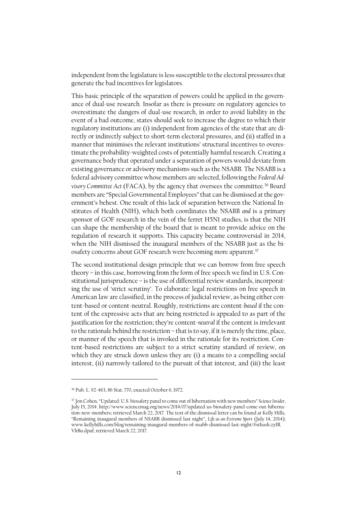independent from the legislature is less susceptible to the electoral pressures that generate the bad incentives for legislators.

This basic principle of the separation of powers could be applied in the governance of dual-use research. Insofar as there is pressure on regulatory agencies to overestimate the dangers of dual-use research, in order to avoid liability in the event of a bad outcome, states should seek to increase the degree to which their regulatory institutions are (i) independent from agencies of the state that are directly or indirectly subject to short-term electoral pressures, and (ii) staffed in a manner that minimises the relevant institutions' structural incentives to overestimate the probability-weighted costs of potentially harmful research. Creating a governance body that operated under a separation of powers would deviate from existing governance or advisory mechanisms such as the NSABB. The NSABB is a federal advisory committee whose members are selected, following the *Federal Advisory Committee Act* (FACA), by the agency that oversees the committee. <sup>36</sup> Board members are "Special Governmental Employees" that can be dismissed at the government's behest. One result of this lack of separation between the National Institutes of Health (NIH), which both coordinates the NSABB *and* is a primary sponsor of GOF research in the vein of the ferret H5N1 studies, is that the NIH can shape the membership of the board that is meant to provide advice on the regulation of research it supports. This capacity became controversial in 2014, when the NIH dismissed the inaugural members of the NSABB just as the biosafety concerns about GOF research were becoming more apparent.<sup>37</sup>

The second institutional design principle that we can borrow from free speech theory – in this case, borrowing from the form of free speech we find in U.S. Constitutional jurisprudence – is the use of differential review standards, incorporating the use of 'strict scrutiny'. To elaborate: legal restrictions on free speech in American law are classified, in the process of judicial review, as being either content-based or content-neutral. Roughly, restrictions are content-*based* if the content of the expressive acts that are being restricted is appealed to as part of the justification for the restriction; they're content-*neutral* if the content is irrelevant to the rationale behind the restriction – that is to say, if it is merely the time, place, or manner of the speech that is invoked in the rationale for its restriction. Content-based restrictions are subject to a strict scrutiny standard of review, on which they are struck down unless they are (i) a means to a compelling social interest, (ii) narrowly-tailored to the pursuit of that interest, and (iii) the least

<sup>36</sup> Pub. L. 92-463, 86 Stat. 770, enacted October 6, 1972.

<sup>37</sup> Jon Cohen, "Updated: U.S. biosafety panel to come out of hibernation with new members" *Science Insider,*  July 15, 2014[. http://www.sciencemag.org/news/2014/07/updated-us-biosafety-panel-come-out-hiberna](http://www.sciencemag.org/news/2014/07/updated-us-biosafety-panel-come-out-hibernation-new-members)[tion-new-members;](http://www.sciencemag.org/news/2014/07/updated-us-biosafety-panel-come-out-hibernation-new-members) retrieved March 22, 2017. The text of the dismissal letter can be found at Kelly Hills, "Remaining inaugural members of NSABB dismissed last night", *Life as an Extreme Sport* (July 14, 2014); [www.kellyhills.com/blog/remaining-inaugural-members-of-nsabb-dismissed-last-night/#sthash.zyIR](http://www.kellyhills.com/blog/remaining-inaugural-members-of-nsabb-dismissed-last-night/#sthash.zyIRVhBu.dpuf) [VhBu.dpuf;](http://www.kellyhills.com/blog/remaining-inaugural-members-of-nsabb-dismissed-last-night/#sthash.zyIRVhBu.dpuf) retrieved March 22, 2017.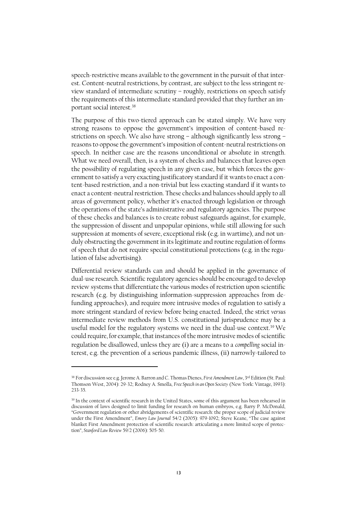speech-restrictive means available to the government in the pursuit of that interest. Content-neutral restrictions, by contrast, are subject to the less stringent review standard of intermediate scrutiny – roughly, restrictions on speech satisfy the requirements of this intermediate standard provided that they further an important social interest.<sup>38</sup>

The purpose of this two-tiered approach can be stated simply. We have very strong reasons to oppose the government's imposition of content-based restrictions on speech. We also have strong – although significantly less strong – reasons to oppose the government's imposition of content-neutral restrictions on speech. In neither case are the reasons unconditional or absolute in strength. What we need overall, then, is a system of checks and balances that leaves open the possibility of regulating speech in any given case, but which forces the government to satisfy a very exacting justificatory standard if it wants to enact a content-based restriction, and a non-trivial but less exacting standard if it wants to enact a content-neutral restriction. These checks and balances should apply to all areas of government policy, whether it's enacted through legislation or through the operations of the state's administrative and regulatory agencies. The purpose of these checks and balances is to create robust safeguards against, for example, the suppression of dissent and unpopular opinions, while still allowing for such suppression at moments of severe, exceptional risk (e.g. in wartime), and not unduly obstructing the government in its legitimate and routine regulation of forms of speech that do not require special constitutional protections (e.g. in the regulation of false advertising).

Differential review standards can and should be applied in the governance of dual-use research. Scientific regulatory agencies should be encouraged to develop review systems that differentiate the various modes of restriction upon scientific research (e.g. by distinguishing information-suppression approaches from defunding approaches), and require more intrusive modes of regulation to satisfy a more stringent standard of review before being enacted. Indeed, the strict *versus* intermediate review methods from U.S. constitutional jurisprudence may be a useful model for the regulatory systems we need in the dual-use context.<sup>39</sup> We could require, for example, that instances of the more intrusive modes of scientific regulation be disallowed, unless they are (i) are a means to a *compelling* social interest, e.g. the prevention of a serious pandemic illness, (ii) narrowly-tailored to

<sup>38</sup> For discussion see e.g. Jerome A. Barron and C. Thomas Dienes, *First Amendment Law*, 3rd Edition (St. Paul: Thomson West, 2004): 29-32; Rodney A. Smolla, *Free Speech in an Open Society* (New York: Vintage, 1993): 233-35.

<sup>39</sup> In the context of scientific research in the United States, some of this argument has been rehearsed in discussion of laws designed to limit funding for research on human embryos, e.g. Barry P. McDonald, "Government regulation or other abridgements of scientific research: the proper scope of judicial review under the First Amendment", *Emory Law Journal* 54/2 (2005): 979-1092; Steve Keane, "The case against blanket First Amendment protection of scientific research: articulating a more limited scope of protection", *Stanford Law Review* 59/2 (2006): 505-50.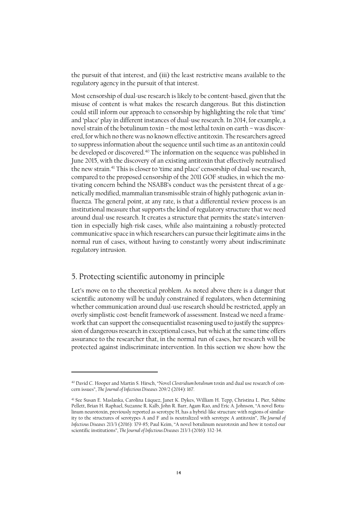the pursuit of that interest, and (iii) the least restrictive means available to the regulatory agency in the pursuit of that interest.

Most censorship of dual-use research is likely to be content-based, given that the misuse of content is what makes the research dangerous. But this distinction could still inform our approach to censorship by highlighting the role that 'time' and 'place' play in different instances of dual-use research. In 2014, for example, a novel strain of the botulinum toxin – the most lethal toxin on earth – was discovered, for which no there was no known effective antitoxin. The researchers agreed to suppress information about the sequence until such time as an antitoxin could be developed or discovered.<sup>40</sup> The information on the sequence was published in June 2015, with the discovery of an existing antitoxin that effectively neutralised the new strain.<sup>41</sup> This is closer to 'time and place' censorship of dual-use research, compared to the proposed censorship of the 2011 GOF studies, in which the motivating concern behind the NSABB's conduct was the persistent threat of a genetically modified, mammalian transmissible strain of highly pathogenic avian influenza. The general point, at any rate, is that a differential review process is an institutional measure that supports the kind of regulatory structure that we need around dual-use research. It creates a structure that permits the state's intervention in especially high-risk cases, while also maintaining a robustly-protected communicative space in which researchers can pursue their legitimate aims in the normal run of cases, without having to constantly worry about indiscriminate regulatory intrusion.

## 5. Protecting scientific autonomy in principle

Let's move on to the theoretical problem. As noted above there is a danger that scientific autonomy will be unduly constrained if regulators, when determining whether communication around dual-use research should be restricted, apply an overly simplistic cost-benefit framework of assessment. Instead we need a framework that can support the consequentialist reasoning used to justify the suppression of dangerous research in exceptional cases, but which at the same time offers assurance to the researcher that, in the normal run of cases, her research will be protected against indiscriminate intervention. In this section we show how the

<sup>40</sup> David C. Hooper and Martin S. Hirsch, "Novel *Clostridium botulinum* toxin and dual use research of concern issues", *The Journal of Infectious Diseases* 209/2 (2014): 167.

<sup>41</sup> See Susan E. Maslanka, Carolina Lúquez, Janet K. Dykes, William H. Tepp, Christina L. Pier, Sabine Pellett, Brian H. Raphael, Suzanne R. Kalb, John R. Barr, Agam Rao, and Eric A. Johnson, "A novel Botulinum neurotoxin, previously reported as serotype H, has a hybrid-like structure with regions of similarity to the structures of serotypes A and F and is neutralized with serotype A antitoxin", *The Journal of Infectious Diseases* 213/3 (2016): 379-85; Paul Keim, "A novel botulinum neurotoxin and how it tested our scientific institutions", *The Journal of Infectious Diseases* 213/3 (2016): 332-34.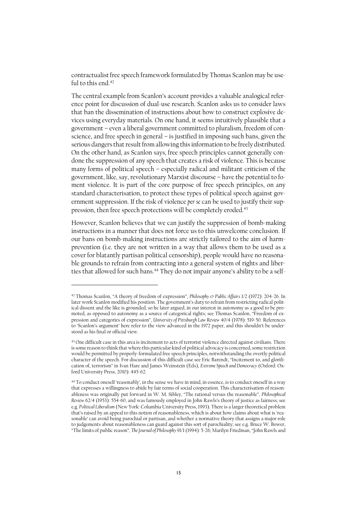contractualist free speech framework formulated by Thomas Scanlon may be useful to this end.<sup>42</sup>

The central example from Scanlon's account provides a valuable analogical reference point for discussion of dual-use research. Scanlon asks us to consider laws that ban the dissemination of instructions about how to construct explosive devices using everyday materials. On one hand, it seems intuitively plausible that a government – even a liberal government committed to pluralism, freedom of conscience, and free speech in general – is justified in imposing such bans, given the serious dangers that result from allowing this information to be freely distributed. On the other hand, as Scanlon says, free speech principles cannot generally condone the suppression of any speech that creates a risk of violence. This is because many forms of political speech – especially radical and militant criticism of the government, like, say, revolutionary Marxist discourse – have the potential to foment violence. It is part of the core purpose of free speech principles, on any standard characterisation, to protect these types of political speech against government suppression. If the risk of violence *per se* can be used to justify their suppression, then free speech protections will be completely eroded.<sup>43</sup>

However, Scanlon believes that we can justify the suppression of bomb-making instructions in a manner that does not force us to this unwelcome conclusion. If our bans on bomb-making instructions are strictly tailored to the aim of harmprevention (i.e. they are not written in a way that allows them to be used as a cover for blatantly partisan political censorship), people would have no reasonable grounds to refrain from contracting into a general system of rights and liberties that allowed for such bans.<sup>44</sup> They do not impair anyone's ability to be a self-

<sup>42</sup> Thomas Scanlon, "A theory of freedom of expression", *Philosophy & Public Affairs* 1/2 (1972): 204-26. In later work Scanlon modified his position. The government's duty to refrain from restricting radical political dissent and the like is grounded, so he later argued, in our interest in autonomy as a good to be promoted, as opposed to autonomy as a source of categorical rights; see Thomas Scanlon, "Freedom of expression and categories of expression", *University of Pittsburgh Law Review* 40/4 (1978): 519-50. References to 'Scanlon's argument' here refer to the view advanced in the 1972 paper, and this shouldn't be understood as his final or official view.

<sup>&</sup>lt;sup>43</sup> One difficult case in this area is incitement to acts of terrorist violence directed against civilians. There is some reason to think that where this particular kind of political advocacy is concerned, some restriction would be permitted by properly-formulated free speech principles, notwithstanding the overtly political character of the speech. For discussion of this difficult case see Eric Barendt, "Incitement to, and glorification of, terrorism" in Ivan Hare and James Weinstein (Eds), *Extreme Speech and Democracy* (Oxford: Oxford University Press, 2010): 445-62.

<sup>44</sup> To conduct oneself 'reasonably', in the sense we have in mind, in essence, is to conduct oneself in a way that expresses a willingness to abide by fair terms of social cooperation. This characterisation of reasonableness was originally put forward in W. M. Sibley, "The rational versus the reasonable", *Philosophical Review* 62/4 (1953): 554-60, and was famously employed in John Rawls's theory of justice as fairness; see e.g. *Political Liberalism* (New York: Columbia University Press, 1993). There is a larger theoretical problem that's raised by an appeal to this notion of reasonableness, which is about how claims about what is 'reasonable' can avoid being parochial or partisan, and whether a normative theory that assigns a major role to judgements about reasonableness can guard against this sort of parochiality; see e.g. Bruce W. Bower, "The limits of public reason", *The Journal of Philosophy* 91/1 (1994): 5-26; Marilyn Friedman, "John Rawls and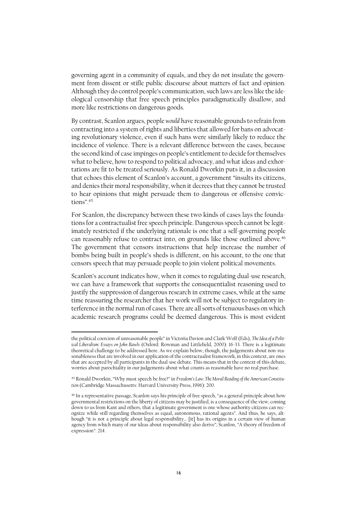governing agent in a community of equals, and they do not insulate the government from dissent or stifle public discourse about matters of fact and opinion. Although they do control people's communication, such laws are less like the ideological censorship that free speech principles paradigmatically disallow, and more like restrictions on dangerous goods.

By contrast, Scanlon argues, people *would* have reasonable grounds to refrain from contracting into a system of rights and liberties that allowed for bans on advocating revolutionary violence, even if such bans were similarly likely to reduce the incidence of violence. There is a relevant difference between the cases, because the second kind of case impinges on people's entitlement to decide forthemselves what to believe, how to respond to political advocacy, and what ideas and exhortations are fit to be treated seriously. As Ronald Dworkin puts it, in a discussion that echoes this element of Scanlon's account, a government "insults its citizens, and denies their moral responsibility, when it decrees that they cannot be trusted to hear opinions that might persuade them to dangerous or offensive convictions" $45$ 

For Scanlon, the discrepancy between these two kinds of cases lays the foundations for a contractualist free speech principle. Dangerous speech cannot be legitimately restricted if the underlying rationale is one that a self-governing people can reasonably refuse to contract into, on grounds like those outlined above.<sup>46</sup> The government that censors instructions that help increase the number of bombs being built in people's sheds is different, on his account, to the one that censors speech that may persuade people to join violent political movements.

Scanlon's account indicates how, when it comes to regulating dual-use research, we can have a framework that supports the consequentialist reasoning used to justify the suppression of dangerous research in extreme cases, while at the same time reassuring the researcher that her work will not be subject to regulatory interference in the normal run of cases. There are all sorts of tenuous bases on which academic research programs could be deemed dangerous. This is most evident

the political coercion of unreasonable people" in Victoria Davion and Clark Wolf (Eds), *The Idea of a Political Liberalism: Essays on John Rawls* (Oxford: Rowman and Littlefield, 2000): 16-33. There is a legitimate theoretical challenge to be addressed here. As we explain below, though, the judgements about non-reasonableness that are involved in our application of the contractualist framework, in this context, are ones that are accepted by all participants in the dual-use debate. This means that in the context of this debate, worries about parochiality in our judgements about what counts as reasonable have no real purchase.

<sup>45</sup> Ronald Dworkin, "Why must speech be free?" in *Freedom's Law: The Moral Reading of the American Constitution* (Cambridge Massachusetts: Harvard University Press, 1996): 200.

<sup>46</sup> In a representative passage, Scanlon says his principle of free speech, "as a general principle about how governmental restrictions on the liberty of citizens may be justified, is a consequence of the view, coming down to us from Kant and others, that a legitimate government is one whose authority citizens can recognize while still regarding themselves as equal, autonomous, rational agents". And thus, he says, although "it is not a principle about legal responsibility… [it] has its origins in a certain view of human agency from which many of our ideas about responsibility also derive"; Scanlon, "A theory of freedom of expression": 214.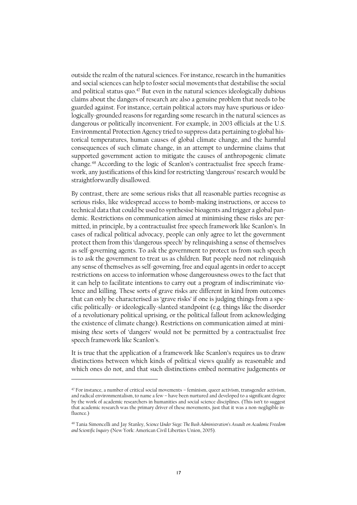outside the realm of the natural sciences. For instance, research in the humanities and social sciences can help to foster social movements that destabilise the social and political status quo.<sup>47</sup> But even in the natural sciences ideologically dubious claims about the dangers of research are also a genuine problem that needs to be guarded against. For instance, certain political actors may have spurious or ideologically-grounded reasons for regarding some research in the natural sciences as dangerous or politically inconvenient. For example, in 2003 officials at the U.S. Environmental Protection Agency tried to suppress data pertaining to global historical temperatures, human causes of global climate change, and the harmful consequences of such climate change, in an attempt to undermine claims that supported government action to mitigate the causes of anthropogenic climate change.<sup>48</sup> According to the logic of Scanlon's contractualist free speech framework, any justifications of this kind for restricting 'dangerous' research would be straightforwardly disallowed.

By contrast, there are some serious risks that all reasonable parties recognise *as* serious risks, like widespread access to bomb-making instructions, or access to technical data that could be used to synthesise bioagents and trigger a global pandemic. Restrictions on communication aimed at minimising these risks are permitted, in principle, by a contractualist free speech framework like Scanlon's. In cases of radical political advocacy, people can only agree to let the government protect them from this 'dangerous speech' by relinquishing a sense of themselves as self-governing agents. To ask the government to protect us from such speech is to ask the government to treat us as children. But people need not relinquish any sense of themselves as self-governing, free and equal agents in order to accept restrictions on access to information whose dangerousness owes to the fact that it can help to facilitate intentions to carry out a program of indiscriminate violence and killing. These sorts of grave risks are different in kind from outcomes that can only be characterised as 'grave risks' if one is judging things from a specific politically- or ideologically-slanted standpoint (e.g. things like the disorder of a revolutionary political uprising, or the political fallout from acknowledging the existence of climate change). Restrictions on communication aimed at minimising *these* sorts of 'dangers' would not be permitted by a contractualist free speech framework like Scanlon's.

It is true that the application of a framework like Scanlon's requires us to draw distinctions between which kinds of political views qualify as reasonable and which ones do not, and that such distinctions embed normative judgements or

<sup>47</sup> For instance, a number of critical social movements – feminism, queer activism, transgender activism, and radical environmentalism, to name a few – have been nurtured and developed to a significant degree by the work of academic researchers in humanities and social science disciplines. (This isn't to suggest that academic research was the primary driver of these movements, just that it was a non-negligible influence.)

<sup>48</sup> Tania Simoncelli and Jay Stanley, *Science Under Siege: The Bush Administration's Assault on Academic Freedom and Scientific Inquiry* (New York: American Civil Liberties Union, 2005).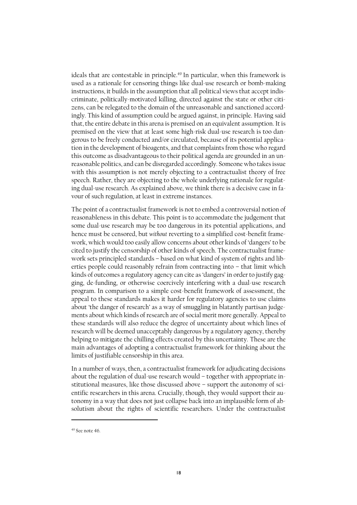ideals that are contestable in principle. <sup>49</sup> In particular, when this framework is used as a rationale for censoring things like dual-use research or bomb-making instructions, it builds in the assumption that all political views that accept indiscriminate, politically-motivated killing, directed against the state or other citizens, can be relegated to the domain of the unreasonable and sanctioned accordingly. This kind of assumption could be argued against, in principle. Having said that, the entire debate in this arena is premised on an equivalent assumption. It is premised on the view that at least some high-risk dual-use research is too dangerous to be freely conducted and/or circulated, because of its potential application in the development of bioagents, and that complaints from those who regard this outcome as disadvantageous to their political agenda are grounded in an unreasonable politics, and can be disregarded accordingly. Someone who takes issue with this assumption is not merely objecting to a contractualist theory of free speech. Rather, they are objecting to the whole underlying rationale for regulating dual-use research. As explained above, we think there is a decisive case in favour of such regulation, at least in extreme instances.

The point of a contractualist framework is not to embed a controversial notion of reasonableness in this debate. This point is to accommodate the judgement that some dual-use research may be too dangerous in its potential applications, and hence must be censored, but *without* reverting to a simplified cost-benefit framework, which would too easily allow concerns about other kinds of 'dangers' to be cited to justify the censorship of other kinds of speech. The contractualist framework sets principled standards – based on what kind of system of rights and liberties people could reasonably refrain from contracting into – that limit which kinds of outcomes a regulatory agency can cite as'dangers' in order to justify gagging, de-funding, or otherwise coercively interfering with a dual-use research program. In comparison to a simple cost-benefit framework of assessment, the appeal to these standards makes it harder for regulatory agencies to use claims about 'the danger of research' as a way of smuggling in blatantly partisan judgements about which kinds of research are of social merit more generally. Appeal to these standards will also reduce the degree of uncertainty about which lines of research will be deemed unacceptably dangerous by a regulatory agency, thereby helping to mitigate the chilling effects created by this uncertainty. These are the main advantages of adopting a contractualist framework for thinking about the limits of justifiable censorship in this area.

In a number of ways, then, a contractualist framework for adjudicating decisions about the regulation of dual-use research would – together with appropriate institutional measures, like those discussed above – support the autonomy of scientific researchers in this arena. Crucially, though, they would support their autonomy in a way that does not just collapse back into an implausible form of absolutism about the rights of scientific researchers. Under the contractualist

<sup>49</sup> See note 46.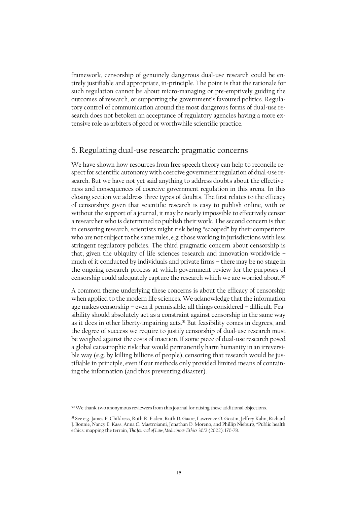framework, censorship of genuinely dangerous dual-use research could be entirely justifiable and appropriate, in-principle. The point is that the rationale for such regulation cannot be about micro-managing or pre-emptively guiding the outcomes of research, or supporting the government's favoured politics. Regulatory control of communication around the most dangerous forms of dual-use research does not betoken an acceptance of regulatory agencies having a more extensive role as arbiters of good or worthwhile scientific practice.

#### 6. Regulating dual-use research: pragmatic concerns

We have shown how resources from free speech theory can help to reconcile respect for scientific autonomy with coercive government regulation of dual-use research. But we have not yet said anything to address doubts about the effectiveness and consequences of coercive government regulation in this arena. In this closing section we address three types of doubts. The first relates to the efficacy of censorship: given that scientific research is easy to publish online, with or without the support of a journal, it may be nearly impossible to effectively censor a researcher who is determined to publish their work. The second concern is that in censoring research, scientists might risk being "scooped" by their competitors who are not subject to the same rules, e.g. those working in jurisdictions with less stringent regulatory policies. The third pragmatic concern about censorship is that, given the ubiquity of life sciences research and innovation worldwide – much of it conducted by individuals and private firms – there may be no stage in the ongoing research process at which government review for the purposes of censorship could adequately capture the research which we are worried about. $^{50}$ 

A common theme underlying these concerns is about the efficacy of censorship when applied to the modern life sciences. We acknowledge that the information age makes censorship – even if permissible, all things considered – difficult. Feasibility should absolutely act as a constraint against censorship in the same way as it does in other liberty-impairing acts.<sup>51</sup> But feasibility comes in degrees, and the degree of success we require to justify censorship of dual-use research must be weighed against the costs of inaction. If some piece of dual-use research posed a global catastrophic risk that would permanently harm humanity in an irreversible way (e.g. by killing billions of people), censoring that research would be justifiable in principle, even if our methods only provided limited means of containing the information (and thus preventing disaster).

<sup>&</sup>lt;sup>50</sup> We thank two anonymous reviewers from this journal for raising these additional objections.

<sup>51</sup> See e.g. James F. Childress, Ruth R. Faden, Ruth D. Gaare, Lawrence O. Gostin, Jeffrey Kahn, Richard J. Bonnie, Nancy E. Kass, Anna C. Mastroianni, Jonathan D. Moreno, and Phillip Nieburg, "Public health ethics: mapping the terrain, *The Journal of Law, Medicine & Ethics* 30/2 (2002): 170-78.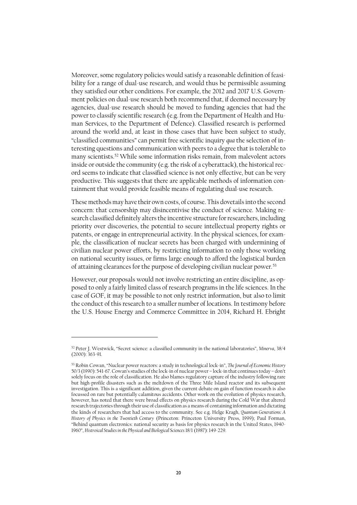Moreover, some regulatory policies would satisfy a reasonable definition of feasibility for a range of dual-use research, and would thus be permissible assuming they satisfied our other conditions. For example, the 2012 and 2017 U.S. Government policies on dual-use research both recommend that, if deemed necessary by agencies, dual-use research should be moved to funding agencies that had the power to classify scientific research (e.g. from the Department of Health and Human Services, to the Department of Defence). Classified research is performed around the world and, at least in those cases that have been subject to study, "classified communities" can permit free scientific inquiry *qua* the selection of interesting questions and communication with peers to a degree that is tolerable to many scientists.<sup>52</sup> While some information risks remain, from malevolent actors inside or outside the community (e.g. the risk of a cyberattack), the historical record seems to indicate that classified science is not only effective, but can be very productive. This suggests that there are applicable methods of information containment that would provide feasible means of regulating dual-use research.

These methods may have their own costs, of course. This dovetails into the second concern: that censorship may disincentivise the conduct of science. Making research classified definitely alters the incentive structure for researchers, including priority over discoveries, the potential to secure intellectual property rights or patents, or engage in entrepreneurial activity. In the physical sciences, for example, the classification of nuclear secrets has been charged with undermining of civilian nuclear power efforts, by restricting information to only those working on national security issues, or firms large enough to afford the logistical burden of attaining clearances for the purpose of developing civilian nuclear power.<sup>53</sup>

However, our proposals would not involve restricting an entire discipline, as opposed to only a fairly limited class of research programs in the life sciences. In the case of GOF, it may be possible to not only restrict information, but also to limit the conduct of this research to a smaller number of locations. In testimony before the U.S. House Energy and Commerce Committee in 2014, Richard H. Ebright

<sup>52</sup> Peter J. Westwick, "Secret science: a classified community in the national laboratories", *Minerva*, 38/4 (2000): 363-91.

<sup>53</sup> Robin Cowan, "Nuclear power reactors: a study in technological lock-in", *The Journal of Economic History*  50/3 (1990): 541-67. Cowan's studies of the lock-in of nuclear power – lock-in that continues today – don't solely focus on the role of classification. He also blames regulatory capture of the industry following rare but high-profile disasters such as the meltdown of the Three Mile Island reactor and its subsequent investigation. This is a significant addition, given the current debate on gain of function research is also focussed on rare but potentially calamitous accidents. Other work on the evolution of physics research, however, has noted that there were broad effects on physics research during the Cold War that altered research trajectories through their use of classification as a means of containing information and dictating the kinds of researchers that had access to the community. See e.g. Helge Kragh, *Quantum Generations: A History of Physics in the Twentieth Century* (Princeton: Princeton University Press, 1999); Paul Forman, "Behind quantum electronics: national security as basis for physics research in the United States, 1940- 1960", *Histroical Studies in the Physical and Biological Sciences* 18/1 (1987): 149-229.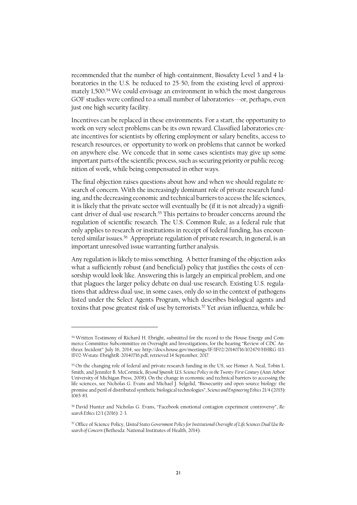recommended that the number of high-containment, Biosafety Level 3 and 4 laboratories in the U.S. be reduced to 25-50, from the existing level of approximately 1,500. <sup>54</sup> We could envisage an environment in which the most dangerous GOF studies were confined to a small number of laboratories---or, perhaps, even just one high security facility.

Incentives can be replaced in these environments. For a start, the opportunity to work on very select problems can be its own reward. Classified laboratories create incentives for scientists by offering employment or salary benefits, access to research resources, or opportunity to work on problems that cannot be worked on anywhere else. We concede that in some cases scientists may give up some important parts of the scientific process, such as securing priority or public recognition of work, while being compensated in other ways.

The final objection raises questions about how and when we should regulate research of concern. With the increasingly dominant role of private research funding, and the decreasing economic and technical barriers to access the life sciences, it is likely that the private sector will eventually be (if it is not already) a significant driver of dual-use research.<sup>55</sup> This pertains to broader concerns around the regulation of scientific research. The U.S. Common Rule, as a federal rule that only applies to research or institutions in receipt of federal funding, has encountered similar issues. 56 Appropriate regulation of private research, in general, is an important unresolved issue warranting further analysis.

Any regulation is likely to miss something. A better framing of the objection asks what a sufficiently robust (and beneficial) policy that justifies the costs of censorship would look like. Answering this is largely an empirical problem, and one that plagues the larger policy debate on dual-use research. Existing U.S. regulations that address dual-use, in some cases, only do so in the context of pathogens listed under the Select Agents Program, which describes biological agents and toxins that pose greatest risk of use by terrorists.<sup>57</sup> Yet avian influenza, while be-

<sup>54</sup> Written Testimony of Richard H. Ebright, submitted for the record to the House Energy and Commerce Committee Subcommittee on Oversight and Investigations, for the hearing "Review of CDC Anthrax Incident" July 16, 2014; see [http://docs.house.gov/meetings/IF/IF02/20140716/102479/HHRG-113-](http://docs.house.gov/meetings/IF/IF02/20140716/102479/HHRG-113-IF02-Wstate-EbrightR-20140716.pdf) [IF02-Wstate-EbrightR-20140716.pdf,](http://docs.house.gov/meetings/IF/IF02/20140716/102479/HHRG-113-IF02-Wstate-EbrightR-20140716.pdf) retrieved 14 September, 2017.

<sup>55</sup> On the changing role of federal and private research funding in the US, see Homer A. Neal, Tobin L. Smith, and Jennifer B. McCormick, *Beyond Sputnik: U.S. Science Policy in the Twenty-First Century (Ann Arbor:* University of Michigan Press, 2008). On the change in economic and technical barriers to accessing the life sciences, see Nicholas G. Evans and Michael J. Selgelid, "Biosecurity and open-source biology: the promise and peril of distributed synthetic biological technologies", *Science and Engineering Ethics* 21/4 (2015): 1065-83.

<sup>56</sup> David Hunter and Nicholas G. Evans, "[Facebook emotional contagion experiment controversy](https://philpapers.org/go.pl?id=HUNFEC&proxyId=&u=http%3A%2F%2Fdx.doi.org%2F10.1177%2F1747016115626341)", *Research Ethics* 12/1 (2016): 2-3.

<sup>57</sup> Office of Science Policy, *United States Government Policy for Institutional Oversight of Life Sciences Dual Use Research of Concern* (Bethesda: National Institutes of Health, 2014).